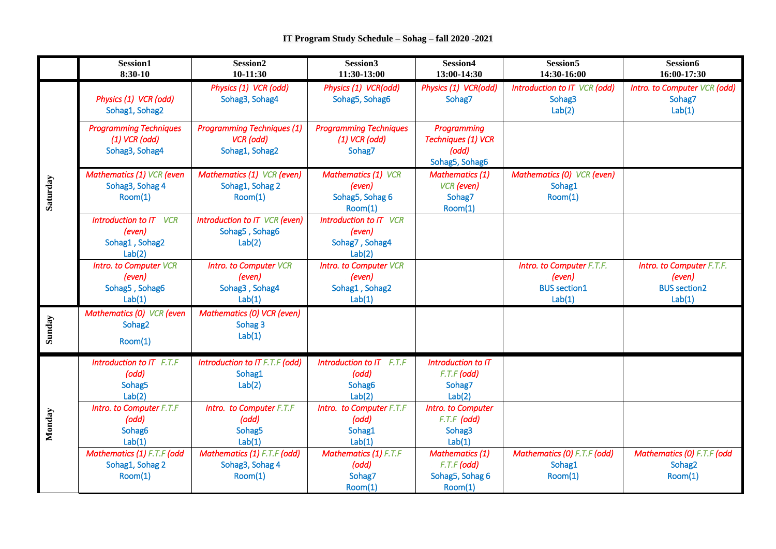|          | Session1<br>$8:30-10$                                               | Session <sub>2</sub><br>$10-11:30$                                  | Session3<br>11:30-13:00                                             | Session4<br>13:00-14:30                                                    | Session <sub>5</sub><br>14:30-16:00                                  | Session6<br>16:00-17:30                                              |
|----------|---------------------------------------------------------------------|---------------------------------------------------------------------|---------------------------------------------------------------------|----------------------------------------------------------------------------|----------------------------------------------------------------------|----------------------------------------------------------------------|
| Saturday | Physics (1) VCR (odd)<br>Sohag1, Sohag2                             | Physics (1) VCR (odd)<br>Sohag3, Sohag4                             | Physics (1) VCR(odd)<br>Sohag5, Sohag6                              | Physics (1) VCR(odd)<br>Sohag7                                             | Introduction to IT VCR (odd)<br>Sohag3<br>Lab(2)                     | Intro. to Computer VCR (odd)<br>Sohag7<br>Lab(1)                     |
|          | <b>Programming Techniques</b><br>$(1)$ VCR (odd)<br>Sohag3, Sohag4  | <b>Programming Techniques (1)</b><br>VCR (odd)<br>Sohag1, Sohag2    | <b>Programming Techniques</b><br>$(1)$ VCR (odd)<br>Sohag7          | <b>Programming</b><br><b>Techniques (1) VCR</b><br>(odd)<br>Sohag5, Sohag6 |                                                                      |                                                                      |
|          | Mathematics (1) VCR (even<br>Sohag3, Sohag 4<br>Room(1)             | Mathematics (1) VCR (even)<br>Sohag1, Sohag 2<br>Room(1)            | <b>Mathematics (1) VCR</b><br>(even)<br>Sohag5, Sohag 6<br>Room(1)  | <b>Mathematics (1)</b><br><b>VCR</b> (even)<br>Sohag7<br>Room(1)           | Mathematics (0) VCR (even)<br>Sohag1<br>Room(1)                      |                                                                      |
|          | <b>Introduction to IT</b> VCR<br>(even)<br>Sohag1, Sohag2<br>Lab(2) | Introduction to IT VCR (even)<br>Sohag5, Sohag6<br>Lab(2)           | Introduction to IT VCR<br>(even)<br>Sohag7, Sohag4<br>Lab(2)        |                                                                            |                                                                      |                                                                      |
|          | <b>Intro. to Computer VCR</b><br>(even)<br>Sohag5, Sohag6<br>Lab(1) | <b>Intro. to Computer VCR</b><br>(even)<br>Sohag3, Sohag4<br>Lab(1) | <b>Intro. to Computer VCR</b><br>(even)<br>Sohag1, Sohag2<br>Lab(1) |                                                                            | Intro. to Computer F.T.F.<br>(even)<br><b>BUS section1</b><br>Lab(1) | Intro. to Computer F.T.F.<br>(even)<br><b>BUS section2</b><br>Lab(1) |
| Sunday   | Mathematics (0) VCR (even<br>Sohag2<br>Room(1)                      | Mathematics (0) VCR (even)<br>Sohag 3<br>Lab(1)                     |                                                                     |                                                                            |                                                                      |                                                                      |
| Monday   | Introduction to IT F.T.F<br>(odd)<br>Sohag5<br>Lab(2)               | Introduction to IT F.T.F (odd)<br>Sohag1<br>Lab(2)                  | Introduction to IT F.T.F<br>(odd)<br>Sohag6<br>Lab(2)               | Introduction to IT<br>$F.T.F$ (odd)<br>Sohag7<br>Lab(2)                    |                                                                      |                                                                      |
|          | Intro. to Computer F.T.F<br>(odd)<br>Sohag6<br>Lab(1)               | Intro. to Computer F.T.F<br>(odd)<br>Sohag <sub>5</sub><br>Lab(1)   | Intro. to Computer F.T.F<br>(odd)<br>Sohag1<br>Lab(1)               | Intro. to Computer<br>$F.T.F$ (odd)<br>Sohag3<br>Lab(1)                    |                                                                      |                                                                      |
|          | Mathematics (1) F.T.F (odd<br>Sohag1, Sohag 2<br>Room(1)            | Mathematics (1) F.T.F (odd)<br>Sohag3, Sohag 4<br>Room(1)           | <b>Mathematics (1) F.T.F</b><br>(odd)<br>Sohag7<br>Room(1)          | <b>Mathematics (1)</b><br>$F.T.F$ (odd)<br>Sohag5, Sohag 6<br>Room(1)      | Mathematics (0) F.T.F (odd)<br>Sohag1<br>Room(1)                     | Mathematics (0) F.T.F (odd<br>Sohag2<br>Room(1)                      |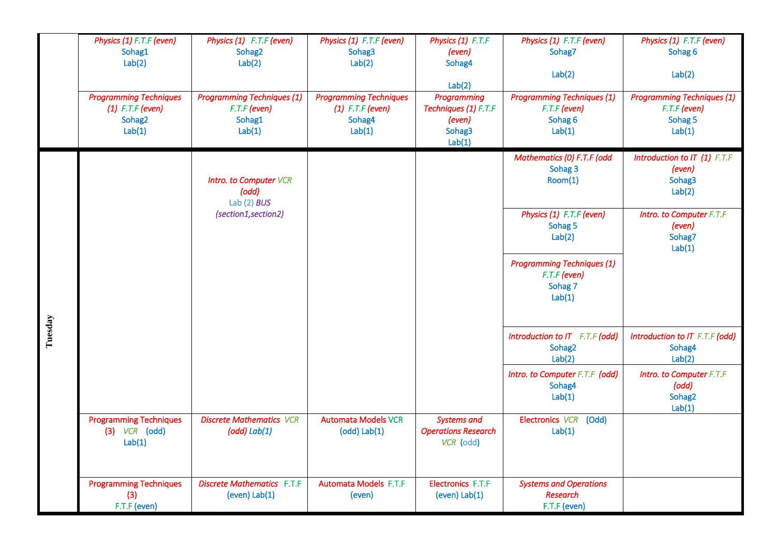|         | Physics (1) F.T.F (even)<br>Sohag1<br>Lab(2)                                        | Physics (1) F.T.F (even)<br>Sohag2<br>Lab(2)                            | Physics (1) F.T.F (even)<br>Sohag3<br>Lab(2)                            | Physics (1) F.T.F<br>(even)<br>Sohag4<br>Lab(2)                   | Physics (1) F.T.F (even)<br>Sohag7<br>Lab(2)                             | Physics (1) F.T.F (even)<br>Sohag 6<br>Lab(2)                          |
|---------|-------------------------------------------------------------------------------------|-------------------------------------------------------------------------|-------------------------------------------------------------------------|-------------------------------------------------------------------|--------------------------------------------------------------------------|------------------------------------------------------------------------|
|         | <b>Programming Techniques</b><br>$(1)$ F.T.F (even)<br>Sohag <sub>2</sub><br>Lab(1) | <b>Programming Techniques (1)</b><br>$F.T.F$ (even)<br>Sohag1<br>Lab(1) | <b>Programming Techniques</b><br>$(1)$ F.T.F (even)<br>Sohag4<br>Lab(1) | Programming<br>Techniques (1) F.T.F<br>(even)<br>Sohag3<br>Lab(1) | <b>Programming Techniques (1)</b><br>$F.T.F$ (even)<br>Sohag 6<br>Lab(1) | <b>Programming Techniques (1)</b><br>F.T.F (even)<br>Sohag 5<br>Lab(1) |
| Tuesday |                                                                                     | <b>Intro. to Computer VCR</b><br>(odd)<br>Lab $(2)$ BUS                 |                                                                         |                                                                   | Mathematics (0) F.T.F (odd<br>Sohag 3<br>Room(1)                         | Introduction to IT (1) F.T.F<br>(even)<br>Sohag3<br>Lab(2)             |
|         |                                                                                     | (section1, section2)                                                    |                                                                         |                                                                   | Physics (1) F.T.F (even)<br>Sohag 5<br>Lab(2)                            | Intro. to Computer F.T.F<br>(even)<br>Sohag7<br>Lab(1)                 |
|         |                                                                                     |                                                                         |                                                                         |                                                                   | <b>Programming Techniques (1)</b><br>F.T.F (even)<br>Sohag 7<br>Lab(1)   |                                                                        |
|         |                                                                                     |                                                                         |                                                                         |                                                                   | Introduction to IT F.T.F (odd)<br>Sohag2<br>Lab(2)                       | Introduction to IT F.T.F (odd)<br>Sohag4<br>Lab(2)                     |
|         |                                                                                     |                                                                         |                                                                         |                                                                   | Intro. to Computer F.T.F (odd)<br>Sohag4<br>Lab(1)                       | Intro. to Computer F.T.F<br>(odd)<br>Sohag2<br>Lab(1)                  |
|         | <b>Programming Techniques</b><br>$(3)$ VCR $(odd)$<br>Lab(1)                        | <b>Discrete Mathematics VCR</b><br>$(odd)$ Lab $(1)$                    | <b>Automata Models VCR</b><br>$(odd)$ Lab $(1)$                         | <b>Systems and</b><br><b>Operations Research</b><br>VCR (odd)     | Electronics VCR (Odd)<br>Lab(1)                                          |                                                                        |
|         | <b>Programming Techniques</b><br>(3)<br>F.T.F (even)                                | <b>Discrete Mathematics F.T.F</b><br>$(even)$ Lab $(1)$                 | <b>Automata Models F.T.F</b><br>(even)                                  | Electronics F.T.F<br>$(even)$ Lab $(1)$                           | <b>Systems and Operations</b><br><b>Research</b><br>F.T.F (even)         |                                                                        |